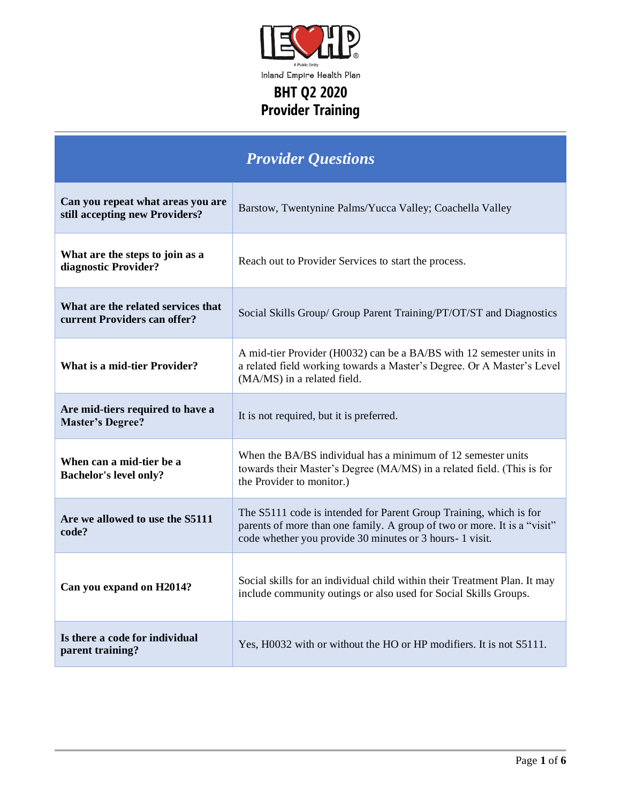

| <b>Provider Questions</b>                                           |                                                                                                                                                                                                            |
|---------------------------------------------------------------------|------------------------------------------------------------------------------------------------------------------------------------------------------------------------------------------------------------|
| Can you repeat what areas you are<br>still accepting new Providers? | Barstow, Twentynine Palms/Yucca Valley; Coachella Valley                                                                                                                                                   |
| What are the steps to join as a<br>diagnostic Provider?             | Reach out to Provider Services to start the process.                                                                                                                                                       |
| What are the related services that<br>current Providers can offer?  | Social Skills Group/ Group Parent Training/PT/OT/ST and Diagnostics                                                                                                                                        |
| <b>What is a mid-tier Provider?</b>                                 | A mid-tier Provider (H0032) can be a BA/BS with 12 semester units in<br>a related field working towards a Master's Degree. Or A Master's Level<br>(MA/MS) in a related field.                              |
| Are mid-tiers required to have a<br><b>Master's Degree?</b>         | It is not required, but it is preferred.                                                                                                                                                                   |
| When can a mid-tier be a<br><b>Bachelor's level only?</b>           | When the BA/BS individual has a minimum of 12 semester units<br>towards their Master's Degree (MA/MS) in a related field. (This is for<br>the Provider to monitor.)                                        |
| Are we allowed to use the S5111<br>code?                            | The S5111 code is intended for Parent Group Training, which is for<br>parents of more than one family. A group of two or more. It is a "visit"<br>code whether you provide 30 minutes or 3 hours- 1 visit. |
| Can you expand on H2014?                                            | Social skills for an individual child within their Treatment Plan. It may<br>include community outings or also used for Social Skills Groups.                                                              |
| Is there a code for individual<br>parent training?                  | Yes, H0032 with or without the HO or HP modifiers. It is not S5111.                                                                                                                                        |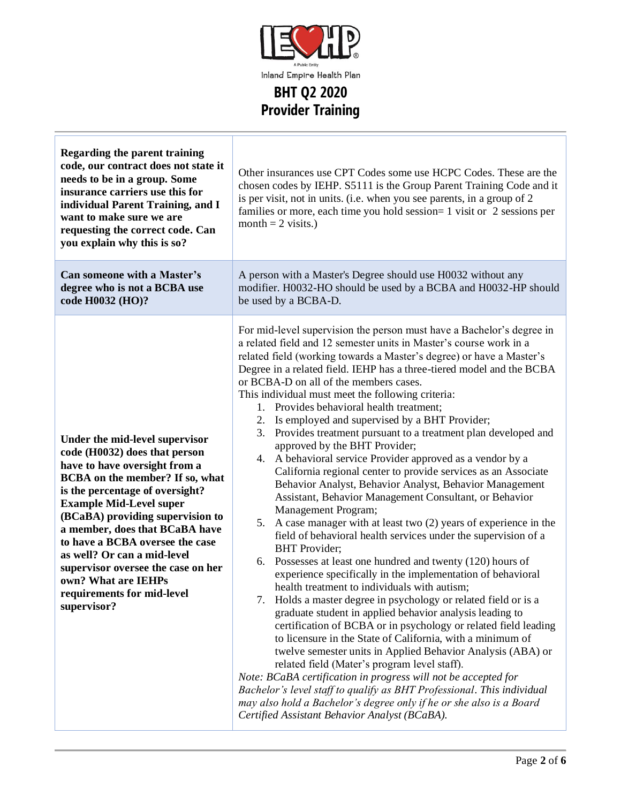

| <b>Regarding the parent training</b><br>code, our contract does not state it<br>needs to be in a group. Some<br>insurance carriers use this for<br>individual Parent Training, and I<br>want to make sure we are<br>requesting the correct code. Can<br>you explain why this is so?                                                                                                                                                                        | Other insurances use CPT Codes some use HCPC Codes. These are the<br>chosen codes by IEHP. S5111 is the Group Parent Training Code and it<br>is per visit, not in units. (i.e. when you see parents, in a group of 2<br>families or more, each time you hold session= 1 visit or 2 sessions per<br>month = $2$ visits.)                                                                                                                                                                                                                                                                                                                                                                                                                                                                                                                                                                                                                                                                                                                                                                                                                                                                                                                                                                                                                                                                                                                                                                                                                                                                                                                                                                                                                                                                                                                                                          |
|------------------------------------------------------------------------------------------------------------------------------------------------------------------------------------------------------------------------------------------------------------------------------------------------------------------------------------------------------------------------------------------------------------------------------------------------------------|----------------------------------------------------------------------------------------------------------------------------------------------------------------------------------------------------------------------------------------------------------------------------------------------------------------------------------------------------------------------------------------------------------------------------------------------------------------------------------------------------------------------------------------------------------------------------------------------------------------------------------------------------------------------------------------------------------------------------------------------------------------------------------------------------------------------------------------------------------------------------------------------------------------------------------------------------------------------------------------------------------------------------------------------------------------------------------------------------------------------------------------------------------------------------------------------------------------------------------------------------------------------------------------------------------------------------------------------------------------------------------------------------------------------------------------------------------------------------------------------------------------------------------------------------------------------------------------------------------------------------------------------------------------------------------------------------------------------------------------------------------------------------------------------------------------------------------------------------------------------------------|
| <b>Can someone with a Master's</b><br>degree who is not a BCBA use<br>code H0032 (HO)?                                                                                                                                                                                                                                                                                                                                                                     | A person with a Master's Degree should use H0032 without any<br>modifier. H0032-HO should be used by a BCBA and H0032-HP should<br>be used by a BCBA-D.                                                                                                                                                                                                                                                                                                                                                                                                                                                                                                                                                                                                                                                                                                                                                                                                                                                                                                                                                                                                                                                                                                                                                                                                                                                                                                                                                                                                                                                                                                                                                                                                                                                                                                                          |
| Under the mid-level supervisor<br>code (H0032) does that person<br>have to have oversight from a<br>BCBA on the member? If so, what<br>is the percentage of oversight?<br><b>Example Mid-Level super</b><br>(BCaBA) providing supervision to<br>a member, does that BCaBA have<br>to have a BCBA oversee the case<br>as well? Or can a mid-level<br>supervisor oversee the case on her<br>own? What are IEHPs<br>requirements for mid-level<br>supervisor? | For mid-level supervision the person must have a Bachelor's degree in<br>a related field and 12 semester units in Master's course work in a<br>related field (working towards a Master's degree) or have a Master's<br>Degree in a related field. IEHP has a three-tiered model and the BCBA<br>or BCBA-D on all of the members cases.<br>This individual must meet the following criteria:<br>1. Provides behavioral health treatment;<br>2. Is employed and supervised by a BHT Provider;<br>Provides treatment pursuant to a treatment plan developed and<br>3.<br>approved by the BHT Provider;<br>4. A behavioral service Provider approved as a vendor by a<br>California regional center to provide services as an Associate<br>Behavior Analyst, Behavior Analyst, Behavior Management<br>Assistant, Behavior Management Consultant, or Behavior<br>Management Program;<br>5. A case manager with at least two (2) years of experience in the<br>field of behavioral health services under the supervision of a<br><b>BHT</b> Provider;<br>6. Possesses at least one hundred and twenty (120) hours of<br>experience specifically in the implementation of behavioral<br>health treatment to individuals with autism;<br>7. Holds a master degree in psychology or related field or is a<br>graduate student in applied behavior analysis leading to<br>certification of BCBA or in psychology or related field leading<br>to licensure in the State of California, with a minimum of<br>twelve semester units in Applied Behavior Analysis (ABA) or<br>related field (Mater's program level staff).<br>Note: BCaBA certification in progress will not be accepted for<br>Bachelor's level staff to qualify as BHT Professional. This individual<br>may also hold a Bachelor's degree only if he or she also is a Board<br>Certified Assistant Behavior Analyst (BCaBA). |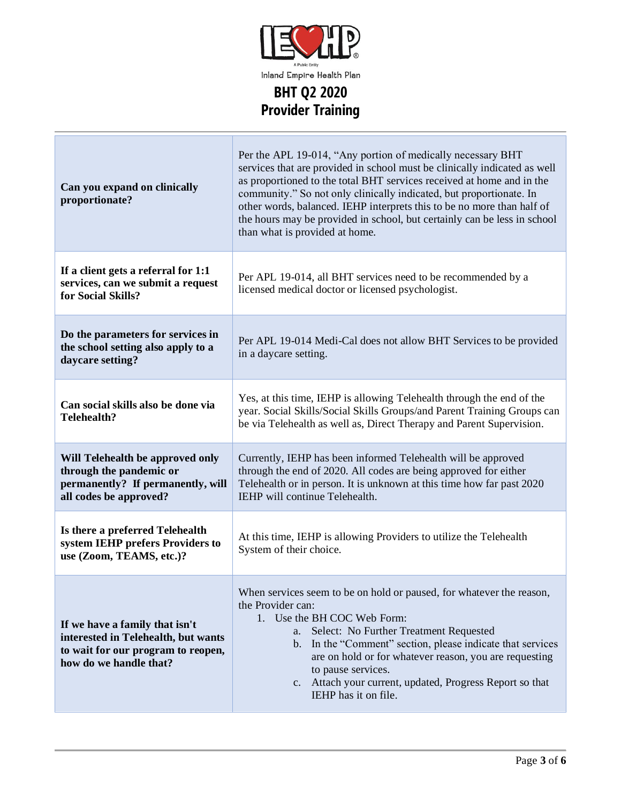

| Can you expand on clinically<br>proportionate?                                                                                        | Per the APL 19-014, "Any portion of medically necessary BHT<br>services that are provided in school must be clinically indicated as well<br>as proportioned to the total BHT services received at home and in the<br>community." So not only clinically indicated, but proportionate. In<br>other words, balanced. IEHP interprets this to be no more than half of<br>the hours may be provided in school, but certainly can be less in school<br>than what is provided at home. |
|---------------------------------------------------------------------------------------------------------------------------------------|----------------------------------------------------------------------------------------------------------------------------------------------------------------------------------------------------------------------------------------------------------------------------------------------------------------------------------------------------------------------------------------------------------------------------------------------------------------------------------|
| If a client gets a referral for 1:1<br>services, can we submit a request<br>for Social Skills?                                        | Per APL 19-014, all BHT services need to be recommended by a<br>licensed medical doctor or licensed psychologist.                                                                                                                                                                                                                                                                                                                                                                |
| Do the parameters for services in<br>the school setting also apply to a<br>daycare setting?                                           | Per APL 19-014 Medi-Cal does not allow BHT Services to be provided<br>in a daycare setting.                                                                                                                                                                                                                                                                                                                                                                                      |
| Can social skills also be done via<br><b>Telehealth?</b>                                                                              | Yes, at this time, IEHP is allowing Telehealth through the end of the<br>year. Social Skills/Social Skills Groups/and Parent Training Groups can<br>be via Telehealth as well as, Direct Therapy and Parent Supervision.                                                                                                                                                                                                                                                         |
| Will Telehealth be approved only<br>through the pandemic or<br>permanently? If permanently, will<br>all codes be approved?            | Currently, IEHP has been informed Telehealth will be approved<br>through the end of 2020. All codes are being approved for either<br>Telehealth or in person. It is unknown at this time how far past 2020<br>IEHP will continue Telehealth.                                                                                                                                                                                                                                     |
| Is there a preferred Telehealth<br>system IEHP prefers Providers to<br>use (Zoom, TEAMS, etc.)?                                       | At this time, IEHP is allowing Providers to utilize the Telehealth<br>System of their choice.                                                                                                                                                                                                                                                                                                                                                                                    |
| If we have a family that isn't<br>interested in Telehealth, but wants<br>to wait for our program to reopen,<br>how do we handle that? | When services seem to be on hold or paused, for whatever the reason,<br>the Provider can:<br>1. Use the BH COC Web Form:<br>Select: No Further Treatment Requested<br>а.<br>In the "Comment" section, please indicate that services<br>$\mathbf{b}$ .<br>are on hold or for whatever reason, you are requesting<br>to pause services.<br>c. Attach your current, updated, Progress Report so that<br>IEHP has it on file.                                                        |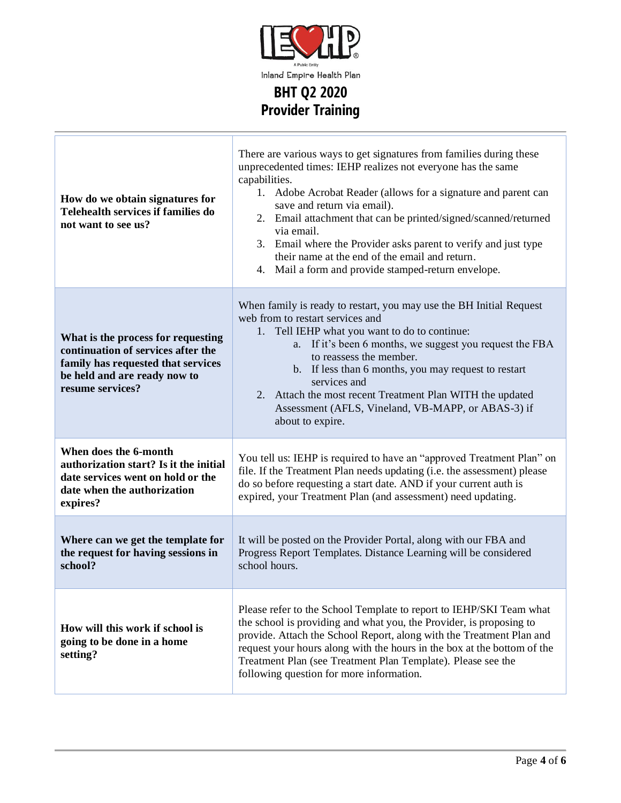

**BHT Q2 2020 Provider Training**

Ť

| How do we obtain signatures for<br>Telehealth services if families do<br>not want to see us?                                                                       | There are various ways to get signatures from families during these<br>unprecedented times: IEHP realizes not everyone has the same<br>capabilities.<br>1. Adobe Acrobat Reader (allows for a signature and parent can<br>save and return via email).<br>2. Email attachment that can be printed/signed/scanned/returned<br>via email.<br>3. Email where the Provider asks parent to verify and just type<br>their name at the end of the email and return.<br>4. Mail a form and provide stamped-return envelope. |
|--------------------------------------------------------------------------------------------------------------------------------------------------------------------|--------------------------------------------------------------------------------------------------------------------------------------------------------------------------------------------------------------------------------------------------------------------------------------------------------------------------------------------------------------------------------------------------------------------------------------------------------------------------------------------------------------------|
| What is the process for requesting<br>continuation of services after the<br>family has requested that services<br>be held and are ready now to<br>resume services? | When family is ready to restart, you may use the BH Initial Request<br>web from to restart services and<br>1. Tell IEHP what you want to do to continue:<br>a. If it's been 6 months, we suggest you request the FBA<br>to reassess the member.<br>b. If less than 6 months, you may request to restart<br>services and<br>2. Attach the most recent Treatment Plan WITH the updated<br>Assessment (AFLS, Vineland, VB-MAPP, or ABAS-3) if<br>about to expire.                                                     |
| When does the 6-month<br>authorization start? Is it the initial<br>date services went on hold or the<br>date when the authorization<br>expires?                    | You tell us: IEHP is required to have an "approved Treatment Plan" on<br>file. If the Treatment Plan needs updating (i.e. the assessment) please<br>do so before requesting a start date. AND if your current auth is<br>expired, your Treatment Plan (and assessment) need updating.                                                                                                                                                                                                                              |
| Where can we get the template for<br>the request for having sessions in<br>school?                                                                                 | It will be posted on the Provider Portal, along with our FBA and<br>Progress Report Templates. Distance Learning will be considered<br>school hours.                                                                                                                                                                                                                                                                                                                                                               |
| How will this work if school is<br>going to be done in a home<br>setting?                                                                                          | Please refer to the School Template to report to IEHP/SKI Team what<br>the school is providing and what you, the Provider, is proposing to<br>provide. Attach the School Report, along with the Treatment Plan and<br>request your hours along with the hours in the box at the bottom of the<br>Treatment Plan (see Treatment Plan Template). Please see the<br>following question for more information.                                                                                                          |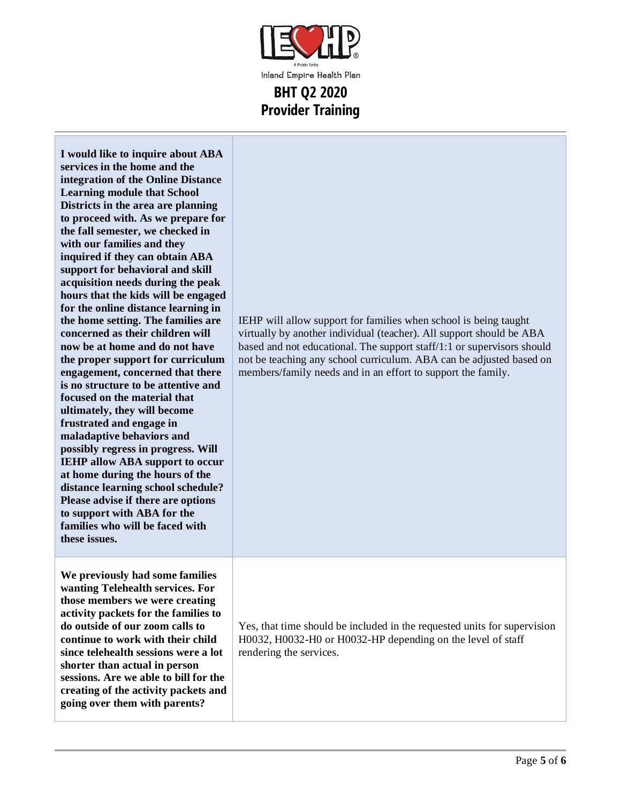

| I would like to inquire about ABA<br>services in the home and the<br>integration of the Online Distance<br><b>Learning module that School</b><br>Districts in the area are planning<br>to proceed with. As we prepare for<br>the fall semester, we checked in<br>with our families and they<br>inquired if they can obtain ABA<br>support for behavioral and skill<br>acquisition needs during the peak<br>hours that the kids will be engaged<br>for the online distance learning in<br>the home setting. The families are<br>concerned as their children will<br>now be at home and do not have<br>the proper support for curriculum<br>engagement, concerned that there<br>is no structure to be attentive and<br>focused on the material that<br>ultimately, they will become<br>frustrated and engage in<br>maladaptive behaviors and<br>possibly regress in progress. Will<br><b>IEHP allow ABA support to occur</b><br>at home during the hours of the<br>distance learning school schedule?<br>Please advise if there are options<br>to support with ABA for the<br>families who will be faced with<br>these issues. | IEHP will allow support for families when school is being taught<br>virtually by another individual (teacher). All support should be ABA<br>based and not educational. The support staff/1:1 or supervisors should<br>not be teaching any school curriculum. ABA can be adjusted based on<br>members/family needs and in an effort to support the family. |
|------------------------------------------------------------------------------------------------------------------------------------------------------------------------------------------------------------------------------------------------------------------------------------------------------------------------------------------------------------------------------------------------------------------------------------------------------------------------------------------------------------------------------------------------------------------------------------------------------------------------------------------------------------------------------------------------------------------------------------------------------------------------------------------------------------------------------------------------------------------------------------------------------------------------------------------------------------------------------------------------------------------------------------------------------------------------------------------------------------------------------|-----------------------------------------------------------------------------------------------------------------------------------------------------------------------------------------------------------------------------------------------------------------------------------------------------------------------------------------------------------|
| We previously had some families<br>wanting Telehealth services. For<br>those members we were creating<br>activity packets for the families to<br>do outside of our zoom calls to<br>continue to work with their child<br>since telehealth sessions were a lot<br>shorter than actual in person<br>sessions. Are we able to bill for the<br>creating of the activity packets and<br>going over them with parents?                                                                                                                                                                                                                                                                                                                                                                                                                                                                                                                                                                                                                                                                                                             | Yes, that time should be included in the requested units for supervision<br>H0032, H0032-H0 or H0032-HP depending on the level of staff<br>rendering the services.                                                                                                                                                                                        |